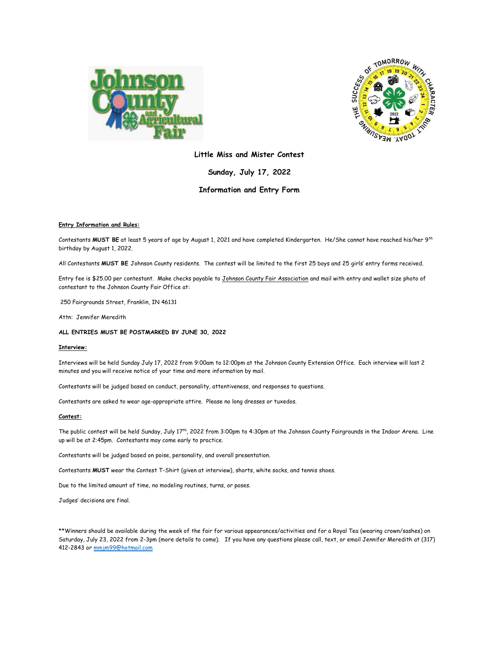



## **Little Miss and Mister Contest**

**Sunday, July 17, 2022**

## **Information and Entry Form**

### **Entry Information and Rules:**

Contestants MUST BE at least 5 years of age by August 1, 2021 and have completed Kindergarten. He/She cannot have reached his/her 9<sup>th</sup> birthday by August 1, 2022.

All Contestants **MUST BE** Johnson County residents. The contest will be limited to the first 25 boys and 25 girls' entry forms received.

Entry fee is \$25.00 per contestant. Make checks payable to Johnson County Fair Association and mail with entry and wallet size photo of contestant to the Johnson County Fair Office at:

250 Fairgrounds Street, Franklin, IN 46131

Attn: Jennifer Meredith

#### **ALL ENTRIES MUST BE POSTMARKED BY JUNE 30, 2022**

#### **Interview:**

Interviews will be held Sunday July 17, 2022 from 9:00am to 12:00pm at the Johnson County Extension Office. Each interview will last 2 minutes and you will receive notice of your time and more information by mail.

Contestants will be judged based on conduct, personality, attentiveness, and responses to questions.

Contestants are asked to wear age-appropriate attire. Please no long dresses or tuxedos.

#### **Contest:**

The public contest will be held Sunday, July 17 th, 2022 from 3:00pm to 4:30pm at the Johnson County Fairgrounds in the Indoor Arena. Line up will be at 2:45pm. Contestants may come early to practice.

Contestants will be judged based on poise, personality, and overall presentation.

Contestants **MUST** wear the Contest T-Shirt (given at interview), shorts, white socks, and tennis shoes.

Due to the limited amount of time, no modeling routines, turns, or poses.

Judges' decisions are final.

\*\*Winners should be available during the week of the fair for various appearances/activities and for a Royal Tea (wearing crown/sashes) on Saturday, July 23, 2022 from 2-3pm (more details to come). If you have any questions please call, text, or email Jennifer Meredith at (317) 412-2843 or [mmjm99@hotmail.com](mailto:mmjm99@hotmail.com)